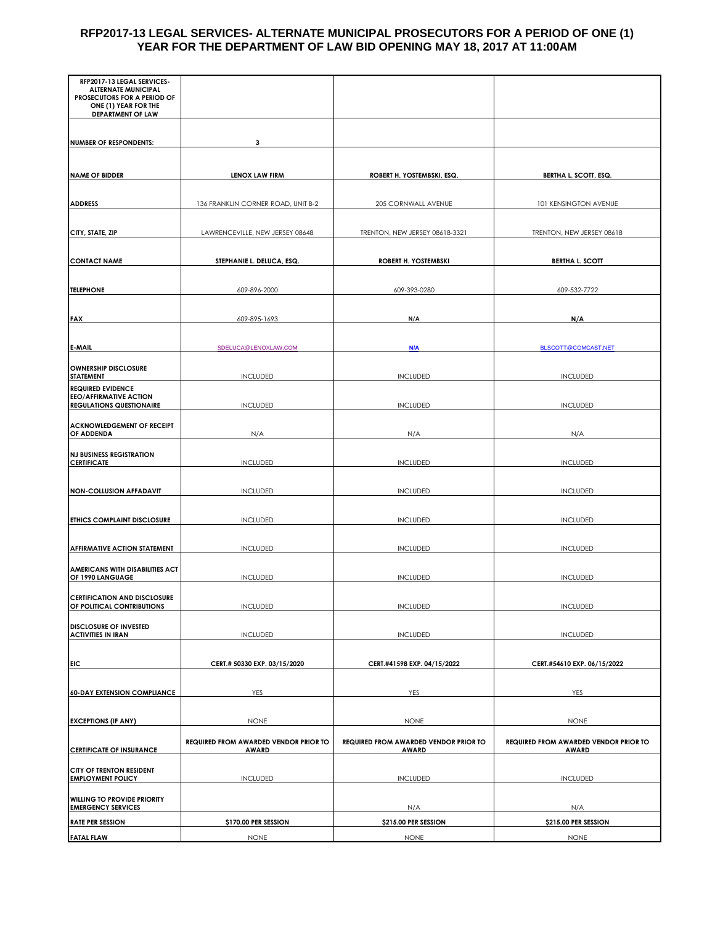## **RFP2017-13 LEGAL SERVICES- ALTERNATE MUNICIPAL PROSECUTORS FOR A PERIOD OF ONE (1) YEAR FOR THE DEPARTMENT OF LAW BID OPENING MAY 18, 2017 AT 11:00AM**

| RFP2017-13 LEGAL SERVICES-<br><b>ALTERNATE MUNICIPAL</b><br>PROSECUTORS FOR A PERIOD OF<br>ONE (1) YEAR FOR THE<br><b>DEPARTMENT OF LAW</b> |                                                       |                                                       |                                                |
|---------------------------------------------------------------------------------------------------------------------------------------------|-------------------------------------------------------|-------------------------------------------------------|------------------------------------------------|
|                                                                                                                                             |                                                       |                                                       |                                                |
| <b>NUMBER OF RESPONDENTS:</b>                                                                                                               | 3                                                     |                                                       |                                                |
| <b>NAME OF BIDDER</b>                                                                                                                       | <b>LENOX LAW FIRM</b>                                 | ROBERT H. YOSTEMBSKI, ESQ.                            | <b>BERTHA L. SCOTT, ESQ.</b>                   |
|                                                                                                                                             |                                                       |                                                       |                                                |
| <b>ADDRESS</b>                                                                                                                              | 136 FRANKLIN CORNER ROAD, UNIT B-2                    | 205 CORNWALL AVENUE                                   | 101 KENSINGTON AVENUE                          |
| CITY, STATE, ZIP                                                                                                                            | LAWRENCEVILLE, NEW JERSEY 08648                       | TRENTON, NEW JERSEY 08618-3321                        | TRENTON, NEW JERSEY 08618                      |
| <b>CONTACT NAME</b>                                                                                                                         | STEPHANIE L. DELUCA, ESQ.                             | ROBERT H. YOSTEMBSKI                                  | <b>BERTHA L. SCOTT</b>                         |
|                                                                                                                                             |                                                       |                                                       |                                                |
| <b>TELEPHONE</b>                                                                                                                            | 609-896-2000                                          | 609-393-0280                                          | 609-532-7722                                   |
| <b>FAX</b>                                                                                                                                  | 609-895-1693                                          | N/A                                                   | N/A                                            |
|                                                                                                                                             |                                                       |                                                       |                                                |
| <b>E-MAIL</b>                                                                                                                               | SDELUCA@LENOXLAW.COM                                  | <b>N/A</b>                                            | BLSCOTT@COMCAST.NET                            |
| <b>OWNERSHIP DISCLOSURE</b><br><b>STATEMENT</b>                                                                                             | <b>INCLUDED</b>                                       | <b>INCLUDED</b>                                       | <b>INCLUDED</b>                                |
| <b>REQUIRED EVIDENCE</b><br><b>EEO/AFFIRMATIVE ACTION</b><br><b>REGULATIONS QUESTIONAIRE</b>                                                | <b>INCLUDED</b>                                       | <b>INCLUDED</b>                                       | <b>INCLUDED</b>                                |
| <b>ACKNOWLEDGEMENT OF RECEIPT</b><br>OF ADDENDA                                                                                             | N/A                                                   | N/A                                                   | N/A                                            |
| <b>NJ BUSINESS REGISTRATION</b><br><b>CERTIFICATE</b>                                                                                       | <b>INCLUDED</b>                                       | <b>INCLUDED</b>                                       | <b>INCLUDED</b>                                |
| <b>NON-COLLUSION AFFADAVIT</b>                                                                                                              | <b>INCLUDED</b>                                       | <b>INCLUDED</b>                                       | <b>INCLUDED</b>                                |
|                                                                                                                                             |                                                       |                                                       |                                                |
| <b>ETHICS COMPLAINT DISCLOSURE</b>                                                                                                          | <b>INCLUDED</b>                                       | <b>INCLUDED</b>                                       | <b>INCLUDED</b>                                |
| <b>AFFIRMATIVE ACTION STATEMENT</b>                                                                                                         | <b>INCLUDED</b>                                       | <b>INCLUDED</b>                                       | <b>INCLUDED</b>                                |
| AMERICANS WITH DISABILITIES ACT<br>OF 1990 LANGUAGE                                                                                         | <b>INCLUDED</b>                                       | <b>INCLUDED</b>                                       | <b>INCLUDED</b>                                |
|                                                                                                                                             |                                                       |                                                       |                                                |
| <b>CERTIFICATION AND DISCLOSURE</b><br>OF POLITICAL CONTRIBUTIONS                                                                           | <b>INCLUDED</b>                                       | <b>INCLUDED</b>                                       | <b>INCLUDED</b>                                |
| <b>DISCLOSURE OF INVESTED</b><br><b>ACTIVITIES IN IRAN</b>                                                                                  | <b>INCLUDED</b>                                       | <b>INCLUDED</b>                                       | <b>INCLUDED</b>                                |
|                                                                                                                                             |                                                       |                                                       |                                                |
| EIC                                                                                                                                         | CERT.# 50330 EXP. 03/15/2020                          | CERT.#41598 EXP. 04/15/2022                           | CERT.#54610 EXP. 06/15/2022                    |
| <b>60-DAY EXTENSION COMPLIANCE</b>                                                                                                          | YES                                                   | YES                                                   | YES                                            |
| <b>EXCEPTIONS (IF ANY)</b>                                                                                                                  | <b>NONE</b>                                           | <b>NONE</b>                                           | <b>NONE</b>                                    |
|                                                                                                                                             |                                                       |                                                       |                                                |
| <b>CERTIFICATE OF INSURANCE</b>                                                                                                             | REQUIRED FROM AWARDED VENDOR PRIOR TO<br><b>AWARD</b> | REQUIRED FROM AWARDED VENDOR PRIOR TO<br><b>AWARD</b> | REQUIRED FROM AWARDED VENDOR PRIOR TO<br>AWARD |
| CITY OF TRENTON RESIDENT<br><b>EMPLOYMENT POLICY</b>                                                                                        | <b>INCLUDED</b>                                       | <b>INCLUDED</b>                                       | <b>INCLUDED</b>                                |
| <b>WILLING TO PROVIDE PRIORITY</b><br><b>EMERGENCY SERVICES</b>                                                                             |                                                       | N/A                                                   | N/A                                            |
| <b>RATE PER SESSION</b>                                                                                                                     | \$170.00 PER SESSION                                  | \$215.00 PER SESSION                                  | \$215.00 PER SESSION                           |
| <b>FATAL FLAW</b>                                                                                                                           | <b>NONE</b>                                           | <b>NONE</b>                                           | <b>NONE</b>                                    |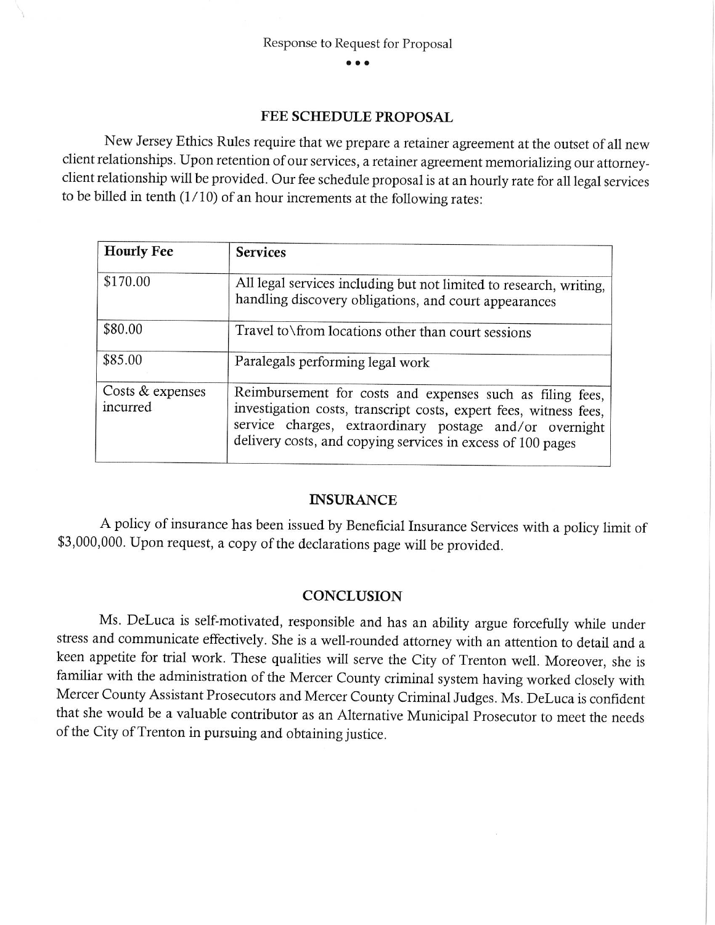## **FEE SCHEDULE PROPOSAL**

New Jersey Ethics Rules require that we prepare a retainer agreement at the outset of all new client relationships. Upon retention of our services, a retainer agreement memorializing our attorneyclient relationship will be provided. Our fee schedule proposal is at an hourly rate for all legal services to be billed in tenth  $(1/10)$  of an hour increments at the following rates:

| <b>Hourly Fee</b>            | <b>Services</b>                                                                                                                                                                                                                                          |  |
|------------------------------|----------------------------------------------------------------------------------------------------------------------------------------------------------------------------------------------------------------------------------------------------------|--|
| \$170.00                     | All legal services including but not limited to research, writing,<br>handling discovery obligations, and court appearances                                                                                                                              |  |
| \$80.00                      | Travel to \from locations other than court sessions                                                                                                                                                                                                      |  |
| \$85.00                      | Paralegals performing legal work                                                                                                                                                                                                                         |  |
| Costs & expenses<br>incurred | Reimbursement for costs and expenses such as filing fees,<br>investigation costs, transcript costs, expert fees, witness fees,<br>service charges, extraordinary postage and/or overnight<br>delivery costs, and copying services in excess of 100 pages |  |

## **INSURANCE**

A policy of insurance has been issued by Beneficial Insurance Services with a policy limit of \$3,000,000. Upon request, a copy of the declarations page will be provided.

## **CONCLUSION**

Ms. DeLuca is self-motivated, responsible and has an ability argue forcefully while under stress and communicate effectively. She is a well-rounded attorney with an attention to detail and a keen appetite for trial work. These qualities will serve the City of Trenton well. Moreover, she is familiar with the administration of the Mercer County criminal system having worked closely with Mercer County Assistant Prosecutors and Mercer County Criminal Judges. Ms. DeLuca is confident that she would be a valuable contributor as an Alternative Municipal Prosecutor to meet the needs of the City of Trenton in pursuing and obtaining justice.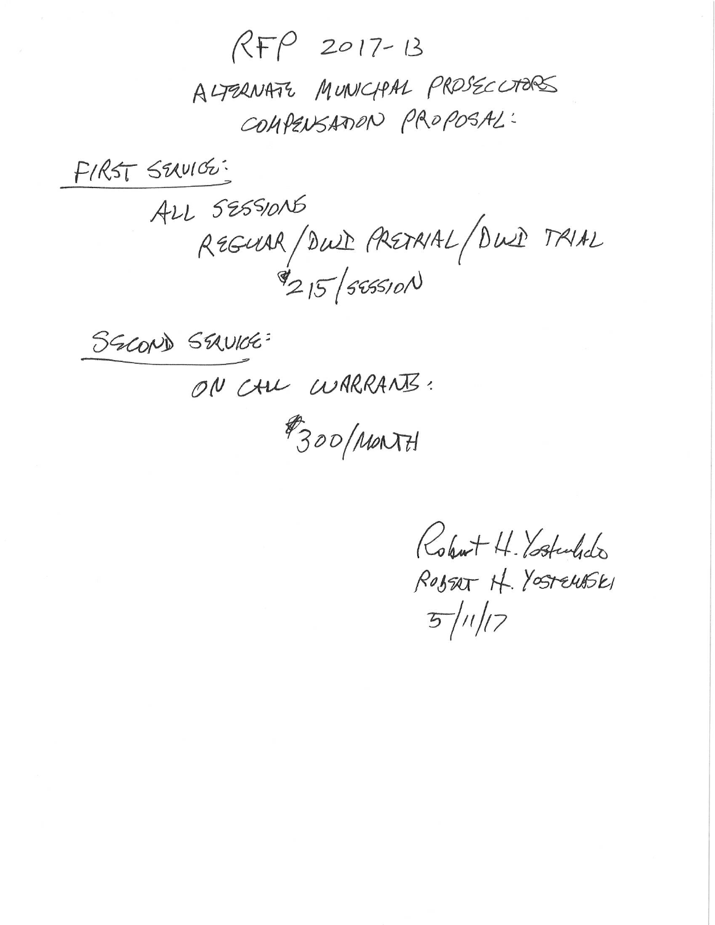$RFP$  2017-13 ALTERNATE MUNICIPAL PROSECUTORS COMPENSATION PROPOSAL:

FIRST SEXUIGO:

ALL SESSIONS REGUAR/DWI PRETRIAL/DWI TRIAL  $\mathscr{I}_{215}/$ 545510N

SEROND SEAVICE:

ON CALL WARRANTS:

#300/MONTH

Robert H. Ystuledo ROBERT H. YOSTELLASKI  $5/11/7$